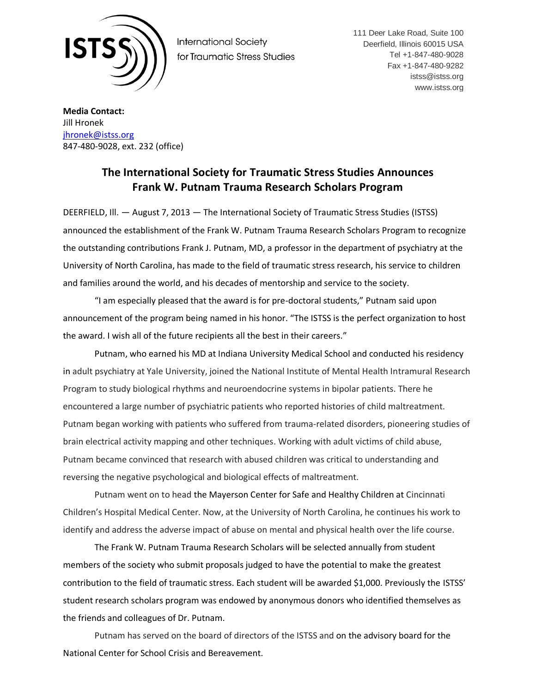

**International Society** for Traumatic Stress Studies 111 Deer Lake Road, Suite 100 Deerfield, Illinois 60015 USA Tel +1-847-480-9028 Fax +1-847-480-9282 istss@istss.org www.istss.org

**Media Contact:** Jill Hronek [jhronek@istss.org](mailto:jhronek@istss.org) 847-480-9028, ext. 232 (office)

## **The International Society for Traumatic Stress Studies Announces Frank W. Putnam Trauma Research Scholars Program**

DEERFIELD, Ill. — August 7, 2013 — The International Society of Traumatic Stress Studies (ISTSS) announced the establishment of the Frank W. Putnam Trauma Research Scholars Program to recognize the outstanding contributions Frank J. Putnam, MD, a professor in the department of psychiatry at the University of North Carolina, has made to the field of traumatic stress research, his service to children and families around the world, and his decades of mentorship and service to the society.

"I am especially pleased that the award is for pre-doctoral students," Putnam said upon announcement of the program being named in his honor. "The ISTSS is the perfect organization to host the award. I wish all of the future recipients all the best in their careers."

Putnam, who earned his MD at Indiana University Medical School and conducted his residency in adult psychiatry at Yale University, joined the National Institute of Mental Health Intramural Research Program to study biological rhythms and neuroendocrine systems in bipolar patients. There he encountered a large number of psychiatric patients who reported histories of child maltreatment. Putnam began working with patients who suffered from trauma-related disorders, pioneering studies of brain electrical activity mapping and other techniques. Working with adult victims of child abuse, Putnam became convinced that research with abused children was critical to understanding and reversing the negative psychological and biological effects of maltreatment.

Putnam went on to head the Mayerson Center for Safe and Healthy Children at Cincinnati Children's Hospital Medical Center. Now, at the University of North Carolina, he continues his work to identify and address the adverse impact of abuse on mental and physical health over the life course.

The Frank W. Putnam Trauma Research Scholars will be selected annually from student members of the society who submit proposals judged to have the potential to make the greatest contribution to the field of traumatic stress. Each student will be awarded \$1,000. Previously the ISTSS' student research scholars program was endowed by anonymous donors who identified themselves as the friends and colleagues of Dr. Putnam.

Putnam has served on the board of directors of the ISTSS and on the advisory board for the National Center for School Crisis and Bereavement.